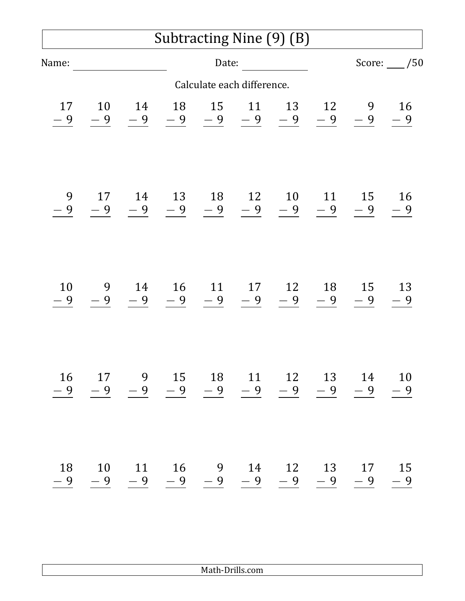## Subtracting Nine (9) (B)

| Name:                      |            |                                                                                                  |    | Date:              |    |    |    |                                                                                                         | Score: $\frac{1}{50}$ |  |
|----------------------------|------------|--------------------------------------------------------------------------------------------------|----|--------------------|----|----|----|---------------------------------------------------------------------------------------------------------|-----------------------|--|
| Calculate each difference. |            |                                                                                                  |    |                    |    |    |    |                                                                                                         |                       |  |
| 17<br>$-9$                 | 10<br>$-9$ | 14                                                                                               |    | 18  15  11  13  12 |    |    |    | 9 16<br>$\frac{-9}{-9}$ $\frac{-9}{-9}$ $\frac{-9}{-9}$ $\frac{-9}{-9}$ $\frac{-9}{-9}$ $\frac{-9}{-9}$ |                       |  |
| 9<br>$-9$                  | 17         | 14<br>$\begin{array}{ccccccccccccc} -9 & -9 & -9 & -9 & -9 & -9 & -9 & -9 & -9 & -9 \end{array}$ |    |                    |    |    |    | 13 18 12 10 11 15 16                                                                                    |                       |  |
| 10<br>$-9$                 | $-9$       | 9 14 16 11 17 12 18 15 13                                                                        |    |                    |    |    |    | $\frac{-9}{-9}$ $\frac{-9}{-9}$ $\frac{-9}{-9}$ $\frac{-9}{-9}$ $\frac{-9}{-9}$ $\frac{-9}{-9}$         |                       |  |
| 16                         | 17         | 9                                                                                                | 15 | 18                 | 11 | 12 | 13 | 14                                                                                                      | 10                    |  |
| - 9                        |            | 18 10 11 16 9<br>$\frac{-9}{-9}$ $\frac{-9}{-9}$ $\frac{-9}{-9}$                                 |    |                    |    |    |    | 14 12 13 17 15<br>$\frac{-9}{-9}$ $\frac{-9}{-9}$ $\frac{-9}{-9}$ $\frac{-9}{-9}$ $\frac{-9}{-9}$       |                       |  |